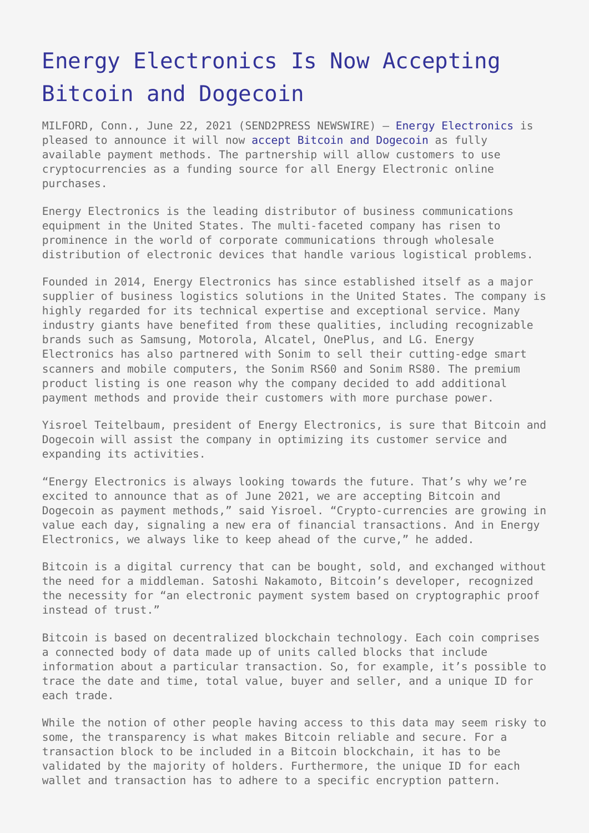## [Energy Electronics Is Now Accepting](https://www.send2press.com/wire/energy-electronics-is-now-accepting-bitcoin-and-dogecoin/) [Bitcoin and Dogecoin](https://www.send2press.com/wire/energy-electronics-is-now-accepting-bitcoin-and-dogecoin/)

MILFORD, Conn., June 22, 2021 (SEND2PRESS NEWSWIRE) — [Energy Electronics](https://energyelectronicsllc.com/) is pleased to announce it will now [accept Bitcoin and Dogecoin](https://energyelectronicsllc.com/crypto/) as fully available payment methods. The partnership will allow customers to use cryptocurrencies as a funding source for all Energy Electronic online purchases.

Energy Electronics is the leading distributor of business communications equipment in the United States. The multi-faceted company has risen to prominence in the world of corporate communications through wholesale distribution of electronic devices that handle various logistical problems.

Founded in 2014, Energy Electronics has since established itself as a major supplier of business logistics solutions in the United States. The company is highly regarded for its technical expertise and exceptional service. Many industry giants have benefited from these qualities, including recognizable brands such as Samsung, Motorola, Alcatel, OnePlus, and LG. Energy Electronics has also partnered with Sonim to sell their cutting-edge smart scanners and mobile computers, the Sonim RS60 and Sonim RS80. The premium product listing is one reason why the company decided to add additional payment methods and provide their customers with more purchase power.

Yisroel Teitelbaum, president of Energy Electronics, is sure that Bitcoin and Dogecoin will assist the company in optimizing its customer service and expanding its activities.

"Energy Electronics is always looking towards the future. That's why we're excited to announce that as of June 2021, we are accepting Bitcoin and Dogecoin as payment methods," said Yisroel. "Crypto-currencies are growing in value each day, signaling a new era of financial transactions. And in Energy Electronics, we always like to keep ahead of the curve," he added.

Bitcoin is a digital currency that can be bought, sold, and exchanged without the need for a middleman. Satoshi Nakamoto, Bitcoin's developer, recognized the necessity for "an electronic payment system based on cryptographic proof instead of trust."

Bitcoin is based on decentralized blockchain technology. Each coin comprises a connected body of data made up of units called blocks that include information about a particular transaction. So, for example, it's possible to trace the date and time, total value, buyer and seller, and a unique ID for each trade.

While the notion of other people having access to this data may seem risky to some, the transparency is what makes Bitcoin reliable and secure. For a transaction block to be included in a Bitcoin blockchain, it has to be validated by the majority of holders. Furthermore, the unique ID for each wallet and transaction has to adhere to a specific encryption pattern.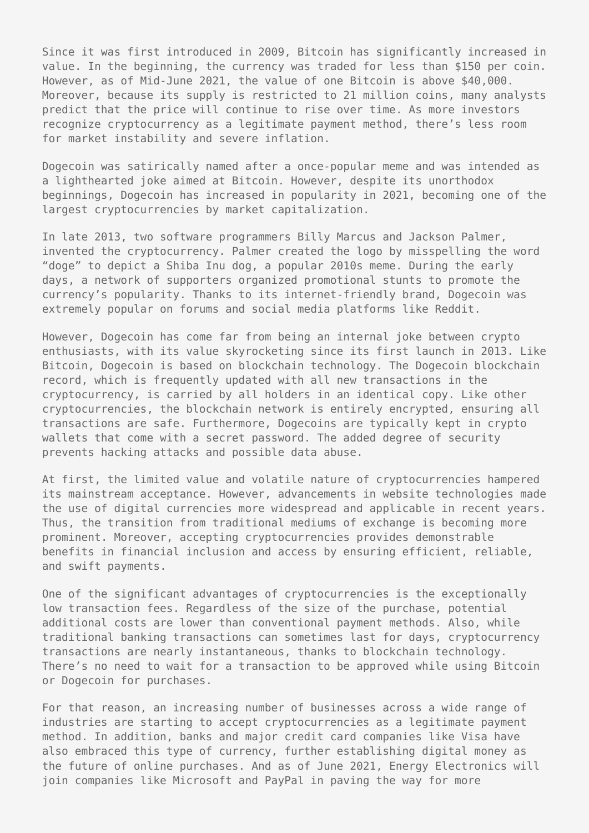Since it was first introduced in 2009, Bitcoin has significantly increased in value. In the beginning, the currency was traded for less than \$150 per coin. However, as of Mid-June 2021, the value of one Bitcoin is above \$40,000. Moreover, because its supply is restricted to 21 million coins, many analysts predict that the price will continue to rise over time. As more investors recognize cryptocurrency as a legitimate payment method, there's less room for market instability and severe inflation.

Dogecoin was satirically named after a once-popular meme and was intended as a lighthearted joke aimed at Bitcoin. However, despite its unorthodox beginnings, Dogecoin has increased in popularity in 2021, becoming one of the largest cryptocurrencies by market capitalization.

In late 2013, two software programmers Billy Marcus and Jackson Palmer, invented the cryptocurrency. Palmer created the logo by misspelling the word "doge" to depict a Shiba Inu dog, a popular 2010s meme. During the early days, a network of supporters organized promotional stunts to promote the currency's popularity. Thanks to its internet-friendly brand, Dogecoin was extremely popular on forums and social media platforms like Reddit.

However, Dogecoin has come far from being an internal joke between crypto enthusiasts, with its value skyrocketing since its first launch in 2013. Like Bitcoin, Dogecoin is based on blockchain technology. The Dogecoin blockchain record, which is frequently updated with all new transactions in the cryptocurrency, is carried by all holders in an identical copy. Like other cryptocurrencies, the blockchain network is entirely encrypted, ensuring all transactions are safe. Furthermore, Dogecoins are typically kept in crypto wallets that come with a secret password. The added degree of security prevents hacking attacks and possible data abuse.

At first, the limited value and volatile nature of cryptocurrencies hampered its mainstream acceptance. However, advancements in website technologies made the use of digital currencies more widespread and applicable in recent years. Thus, the transition from traditional mediums of exchange is becoming more prominent. Moreover, accepting cryptocurrencies provides demonstrable benefits in financial inclusion and access by ensuring efficient, reliable, and swift payments.

One of the significant advantages of cryptocurrencies is the exceptionally low transaction fees. Regardless of the size of the purchase, potential additional costs are lower than conventional payment methods. Also, while traditional banking transactions can sometimes last for days, cryptocurrency transactions are nearly instantaneous, thanks to blockchain technology. There's no need to wait for a transaction to be approved while using Bitcoin or Dogecoin for purchases.

For that reason, an increasing number of businesses across a wide range of industries are starting to accept cryptocurrencies as a legitimate payment method. In addition, banks and major credit card companies like Visa have also embraced this type of currency, further establishing digital money as the future of online purchases. And as of June 2021, Energy Electronics will join companies like Microsoft and PayPal in paving the way for more